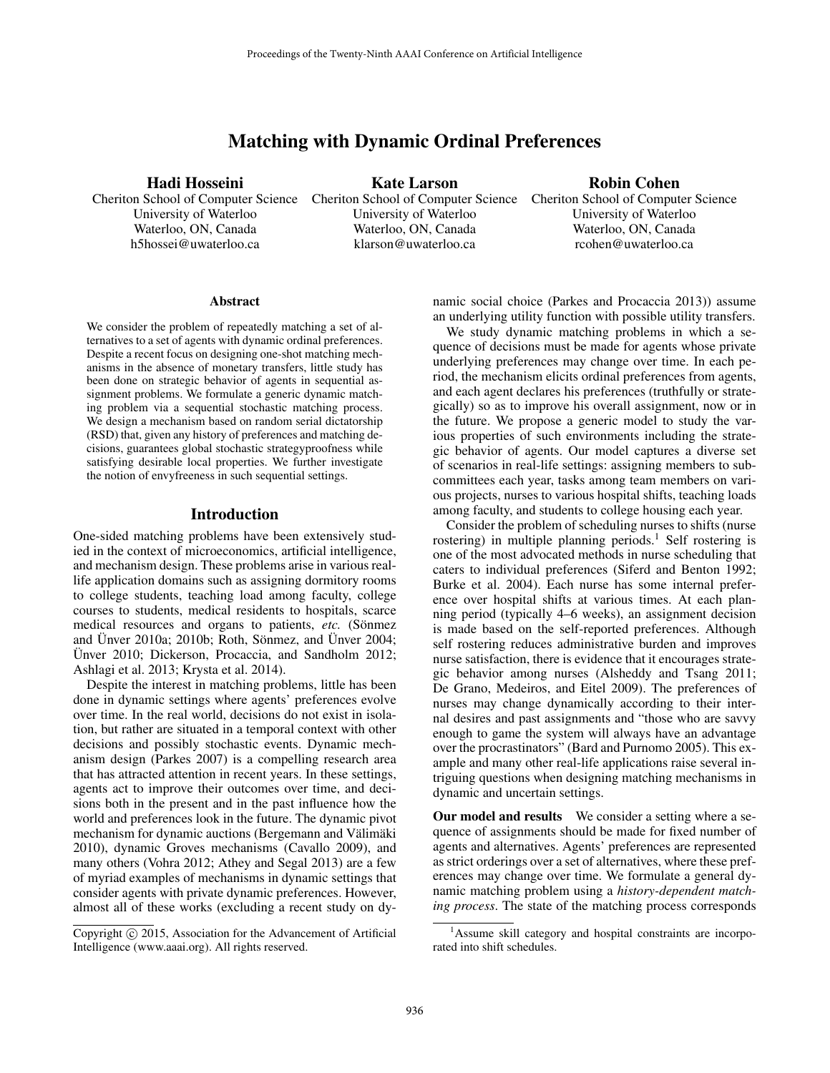# Matching with Dynamic Ordinal Preferences

#### Hadi Hosseini

University of Waterloo Waterloo, ON, Canada h5hossei@uwaterloo.ca

Cheriton School of Computer Science Cheriton School of Computer Science Cheriton School of Computer Science Kate Larson University of Waterloo Waterloo, ON, Canada klarson@uwaterloo.ca

Robin Cohen

University of Waterloo Waterloo, ON, Canada rcohen@uwaterloo.ca

#### **Abstract**

We consider the problem of repeatedly matching a set of alternatives to a set of agents with dynamic ordinal preferences. Despite a recent focus on designing one-shot matching mechanisms in the absence of monetary transfers, little study has been done on strategic behavior of agents in sequential assignment problems. We formulate a generic dynamic matching problem via a sequential stochastic matching process. We design a mechanism based on random serial dictatorship (RSD) that, given any history of preferences and matching decisions, guarantees global stochastic strategyproofness while satisfying desirable local properties. We further investigate the notion of envyfreeness in such sequential settings.

#### Introduction

One-sided matching problems have been extensively studied in the context of microeconomics, artificial intelligence, and mechanism design. These problems arise in various reallife application domains such as assigning dormitory rooms to college students, teaching load among faculty, college courses to students, medical residents to hospitals, scarce medical resources and organs to patients, *etc.* (Sönmez and Ünver 2010a; 2010b; Roth, Sönmez, and Ünver 2004; Ünver 2010; Dickerson, Procaccia, and Sandholm 2012; Ashlagi et al. 2013; Krysta et al. 2014).

Despite the interest in matching problems, little has been done in dynamic settings where agents' preferences evolve over time. In the real world, decisions do not exist in isolation, but rather are situated in a temporal context with other decisions and possibly stochastic events. Dynamic mechanism design (Parkes 2007) is a compelling research area that has attracted attention in recent years. In these settings, agents act to improve their outcomes over time, and decisions both in the present and in the past influence how the world and preferences look in the future. The dynamic pivot mechanism for dynamic auctions (Bergemann and Välimäki 2010), dynamic Groves mechanisms (Cavallo 2009), and many others (Vohra 2012; Athey and Segal 2013) are a few of myriad examples of mechanisms in dynamic settings that consider agents with private dynamic preferences. However, almost all of these works (excluding a recent study on dynamic social choice (Parkes and Procaccia 2013)) assume an underlying utility function with possible utility transfers.

We study dynamic matching problems in which a sequence of decisions must be made for agents whose private underlying preferences may change over time. In each period, the mechanism elicits ordinal preferences from agents, and each agent declares his preferences (truthfully or strategically) so as to improve his overall assignment, now or in the future. We propose a generic model to study the various properties of such environments including the strategic behavior of agents. Our model captures a diverse set of scenarios in real-life settings: assigning members to subcommittees each year, tasks among team members on various projects, nurses to various hospital shifts, teaching loads among faculty, and students to college housing each year.

Consider the problem of scheduling nurses to shifts (nurse rostering) in multiple planning periods.<sup>1</sup> Self rostering is one of the most advocated methods in nurse scheduling that caters to individual preferences (Siferd and Benton 1992; Burke et al. 2004). Each nurse has some internal preference over hospital shifts at various times. At each planning period (typically 4–6 weeks), an assignment decision is made based on the self-reported preferences. Although self rostering reduces administrative burden and improves nurse satisfaction, there is evidence that it encourages strategic behavior among nurses (Alsheddy and Tsang 2011; De Grano, Medeiros, and Eitel 2009). The preferences of nurses may change dynamically according to their internal desires and past assignments and "those who are savvy enough to game the system will always have an advantage over the procrastinators" (Bard and Purnomo 2005). This example and many other real-life applications raise several intriguing questions when designing matching mechanisms in dynamic and uncertain settings.

Our model and results We consider a setting where a sequence of assignments should be made for fixed number of agents and alternatives. Agents' preferences are represented as strict orderings over a set of alternatives, where these preferences may change over time. We formulate a general dynamic matching problem using a *history-dependent matching process*. The state of the matching process corresponds

Copyright (c) 2015, Association for the Advancement of Artificial Intelligence (www.aaai.org). All rights reserved.

<sup>&</sup>lt;sup>1</sup>Assume skill category and hospital constraints are incorporated into shift schedules.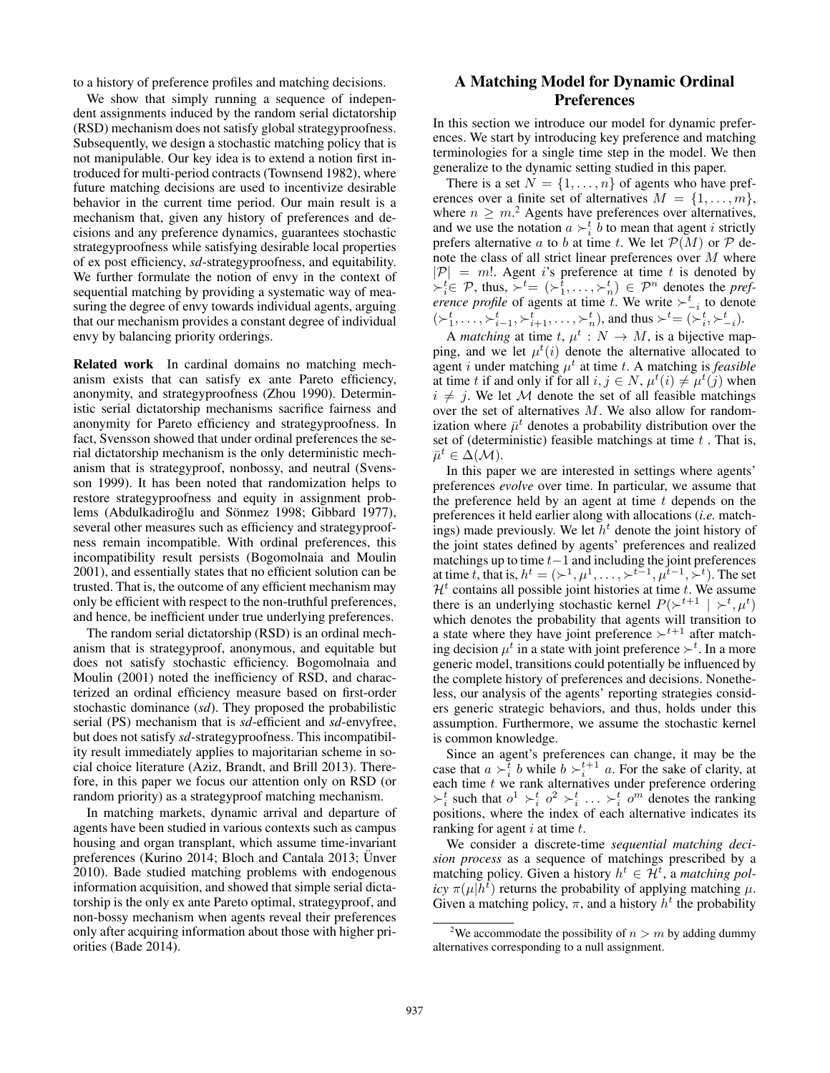to a history of preference profiles and matching decisions.

We show that simply running a sequence of independent assignments induced by the random serial dictatorship (RSD) mechanism does not satisfy global strategyproofness. Subsequently, we design a stochastic matching policy that is not manipulable. Our key idea is to extend a notion first introduced for multi-period contracts (Townsend 1982), where future matching decisions are used to incentivize desirable behavior in the current time period. Our main result is a mechanism that, given any history of preferences and decisions and any preference dynamics, guarantees stochastic strategyproofness while satisfying desirable local properties of ex post efficiency, *sd*-strategyproofness, and equitability. We further formulate the notion of envy in the context of sequential matching by providing a systematic way of measuring the degree of envy towards individual agents, arguing that our mechanism provides a constant degree of individual envy by balancing priority orderings.

Related work In cardinal domains no matching mechanism exists that can satisfy ex ante Pareto efficiency, anonymity, and strategyproofness (Zhou 1990). Deterministic serial dictatorship mechanisms sacrifice fairness and anonymity for Pareto efficiency and strategyproofness. In fact, Svensson showed that under ordinal preferences the serial dictatorship mechanism is the only deterministic mechanism that is strategyproof, nonbossy, and neutral (Svensson 1999). It has been noted that randomization helps to restore strategyproofness and equity in assignment problems (Abdulkadiroğlu and Sönmez 1998; Gibbard 1977), several other measures such as efficiency and strategyproofness remain incompatible. With ordinal preferences, this incompatibility result persists (Bogomolnaia and Moulin 2001), and essentially states that no efficient solution can be trusted. That is, the outcome of any efficient mechanism may only be efficient with respect to the non-truthful preferences, and hence, be inefficient under true underlying preferences.

The random serial dictatorship (RSD) is an ordinal mechanism that is strategyproof, anonymous, and equitable but does not satisfy stochastic efficiency. Bogomolnaia and Moulin (2001) noted the inefficiency of RSD, and characterized an ordinal efficiency measure based on first-order stochastic dominance (*sd*). They proposed the probabilistic serial (PS) mechanism that is *sd*-efficient and *sd*-envyfree, but does not satisfy *sd*-strategyproofness. This incompatibility result immediately applies to majoritarian scheme in social choice literature (Aziz, Brandt, and Brill 2013). Therefore, in this paper we focus our attention only on RSD (or random priority) as a strategyproof matching mechanism.

In matching markets, dynamic arrival and departure of agents have been studied in various contexts such as campus housing and organ transplant, which assume time-invariant preferences (Kurino 2014; Bloch and Cantala 2013; Unver 2010). Bade studied matching problems with endogenous information acquisition, and showed that simple serial dictatorship is the only ex ante Pareto optimal, strategyproof, and non-bossy mechanism when agents reveal their preferences only after acquiring information about those with higher priorities (Bade 2014).

## A Matching Model for Dynamic Ordinal Preferences

In this section we introduce our model for dynamic preferences. We start by introducing key preference and matching terminologies for a single time step in the model. We then generalize to the dynamic setting studied in this paper.

There is a set  $N = \{1, \ldots, n\}$  of agents who have preferences over a finite set of alternatives  $M = \{1, \ldots, m\},\$ where  $n \geq m^2$  Agents have preferences over alternatives, and we use the notation  $a \succ_i^t \tilde{b}$  to mean that agent *i* strictly prefers alternative a to b at time t. We let  $\mathcal{P}(M)$  or  $\mathcal P$  denote the class of all strict linear preferences over M where  $|\mathcal{P}| = m!$ . Agent *i*'s preference at time *t* is denoted by  $\succ_i^t \in \mathcal{P}$ , thus,  $\succ_i^t = (\succ_1^t, \ldots, \succ_n^t) \in \mathcal{P}^n$  denotes the *preference profile* of agents at time t. We write  $\succ_{-i}^t$  to denote  $(\succ_1^t, \ldots, \succ_{i-1}^t, \succ_{i+1}^t, \ldots, \succ_n^t)$ , and thus  $\succ^t = (\succ_i^t, \succ_{-i}^t)$ .

A *matching* at time  $t, \mu^t : N \to M$ , is a bijective mapping, and we let  $\mu^t(i)$  denote the alternative allocated to agent *i* under matching  $\mu^t$  at time *t*. A matching is *feasible* at time t if and only if for all  $i, j \in N$ ,  $\mu^t(i) \neq \mu^t(j)$  when  $i \neq j$ . We let M denote the set of all feasible matchings over the set of alternatives M. We also allow for randomization where  $\bar{\mu}^t$  denotes a probability distribution over the set of (deterministic) feasible matchings at time  $t$ . That is,  $\bar{\mu}^t \in \Delta(\mathcal{M}).$ 

In this paper we are interested in settings where agents' preferences *evolve* over time. In particular, we assume that the preference held by an agent at time  $t$  depends on the preferences it held earlier along with allocations (*i.e.* matchings) made previously. We let  $h<sup>t</sup>$  denote the joint history of the joint states defined by agents' preferences and realized matchings up to time  $t-1$  and including the joint preferences at time t, that is,  $h^t = (\succ^1, \mu^1, \ldots, \succ^{t-1}, \mu^{t-1}, \succ^t)$ . The set  $\mathcal{H}^t$  contains all possible joint histories at time t. We assume there is an underlying stochastic kernel  $P(\succ^{t+1} | \succ^t, \mu^t)$ which denotes the probability that agents will transition to a state where they have joint preference  $\succ^{t+1}$  after matching decision  $\mu^t$  in a state with joint preference  $\succ^t$ . In a more generic model, transitions could potentially be influenced by the complete history of preferences and decisions. Nonetheless, our analysis of the agents' reporting strategies considers generic strategic behaviors, and thus, holds under this assumption. Furthermore, we assume the stochastic kernel is common knowledge.

Since an agent's preferences can change, it may be the case that  $a \succ_i^t b$  while  $b \succ_i^{t+1} a$ . For the sake of clarity, at each time  $t$  we rank alternatives under preference ordering  $\succ_i^t$  such that  $o^1 \succ_i^t o^2 \succ_i^t \ldots \succ_i^t o^m$  denotes the ranking positions, where the index of each alternative indicates its ranking for agent  $i$  at time  $t$ .

We consider a discrete-time *sequential matching decision process* as a sequence of matchings prescribed by a matching policy. Given a history  $h^t \in \mathcal{H}^t$ , a *matching policy*  $\pi(\mu|h^t)$  returns the probability of applying matching  $\mu$ . Given a matching policy,  $\pi$ , and a history  $h^t$  the probability

<sup>&</sup>lt;sup>2</sup>We accommodate the possibility of  $n > m$  by adding dummy alternatives corresponding to a null assignment.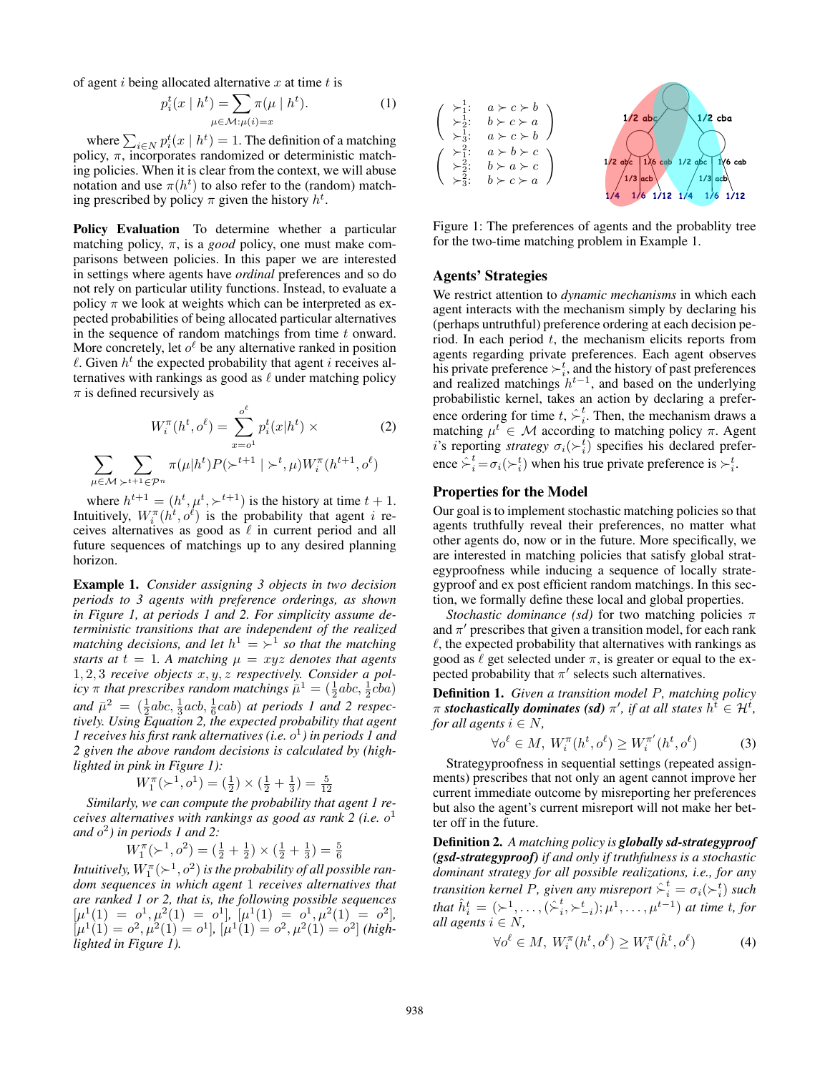of agent i being allocated alternative x at time t is

$$
p_i^t(x \mid h^t) = \sum_{\mu \in \mathcal{M} : \mu(i) = x} \pi(\mu \mid h^t). \tag{1}
$$

where  $\sum_{i \in N} p_i^t(x \mid h^t) = 1$ . The definition of a matching policy,  $\pi$ , incorporates randomized or deterministic matching policies. When it is clear from the context, we will abuse notation and use  $\pi(h^t)$  to also refer to the (random) matching prescribed by policy  $\pi$  given the history  $h^t$ .

Policy Evaluation To determine whether a particular matching policy,  $\pi$ , is a *good* policy, one must make comparisons between policies. In this paper we are interested in settings where agents have *ordinal* preferences and so do not rely on particular utility functions. Instead, to evaluate a policy  $\pi$  we look at weights which can be interpreted as expected probabilities of being allocated particular alternatives in the sequence of random matchings from time  $t$  onward. More concretely, let  $o^{\ell}$  be any alternative ranked in position  $\ell$ . Given  $h^t$  the expected probability that agent i receives alternatives with rankings as good as  $\ell$  under matching policy  $\pi$  is defined recursively as

$$
W_i^{\pi}(h^t, o^\ell) = \sum_{x=o^1}^{o^\ell} p_i^t(x|h^t) \times
$$
\n
$$
\sum \pi(\mu|h^t)P(\succ^{t+1}|\succ^t, \mu)W_i^{\pi}(h^{t+1}, o^\ell)
$$
\n(2)

µ∈M  $\succ^{t+1}$ ∈ $\mathcal{P}^n$ where  $h^{t+1} = (h^t, \mu^t, \succ^{t+1})$  is the history at time  $t + 1$ . Intuitively,  $W_i^{\pi}$ ( $h^{\dot{t}}, o^{\dot{\ell}}$ ) is the probability that agent *i* receives alternatives as good as  $\ell$  in current period and all future sequences of matchings up to any desired planning horizon.

 $\sum$ 

Example 1. *Consider assigning 3 objects in two decision periods to 3 agents with preference orderings, as shown in Figure 1, at periods 1 and 2. For simplicity assume deterministic transitions that are independent of the realized matching decisions, and let*  $h^1 = \succ^1$  so that the matching *starts at*  $t = 1$ *. A matching*  $\mu = xyz$  *denotes that agents* 1, 2, 3 *receive objects* x, y, z *respectively. Consider a policy*  $\pi$  *that prescribes random matchings*  $\bar{\mu}^1 = (\frac{1}{2}abc, \frac{1}{2}cba)$ and  $\bar{\mu}^2 = (\frac{1}{2}abc, \frac{1}{3}acb, \frac{1}{6}cab)$  *at periods 1 and 2 respectively. Using Equation 2, the expected probability that agent 1 receives his first rank alternatives (i.e.* o 1 *) in periods 1 and 2 given the above random decisions is calculated by (highlighted in pink in Figure 1):*

$$
W_1^{\pi}(\succ^1, o^1) = (\frac{1}{2}) \times (\frac{1}{2} + \frac{1}{3}) = \frac{5}{12}
$$

*Similarly, we can compute the probability that agent 1 receives alternatives with rankings as good as rank 2 (i.e.* o 1 *and* o 2 *) in periods 1 and 2:*

$$
W_1^{\pi}(\succ^1, o^2) = (\frac{1}{2} + \frac{1}{2}) \times (\frac{1}{2} + \frac{1}{3}) = \frac{5}{6}
$$

Intuitively,  $W^{\pi}_{1}(\succ^{1},o^{2})$  is the probability of all possible ran*dom sequences in which agent* 1 *receives alternatives that are ranked 1 or 2, that is, the following possible sequences*  $[\mu^1(1) = o^1, \mu^2(1) = o^1], [\mu^1(1) = o^1, \mu^2(1) = o^2],$  $[\mu^1(1) = o^2, \mu^2(1) = o^1], [\mu^1(1) = o^2, \mu^2(1) = o^2]$  (high*lighted in Figure 1).*



Figure 1: The preferences of agents and the probablity tree for the two-time matching problem in Example 1.

## Agents' Strategies

We restrict attention to *dynamic mechanisms* in which each agent interacts with the mechanism simply by declaring his (perhaps untruthful) preference ordering at each decision period. In each period  $t$ , the mechanism elicits reports from agents regarding private preferences. Each agent observes his private preference  $\succ_i^t$ , and the history of past preferences and realized matchings  $h^{t-1}$ , and based on the underlying probabilistic kernel, takes an action by declaring a preference ordering for time  $t, \hat{\succ}^t_i$  $i<sub>i</sub>$ . Then, the mechanism draws a matching  $\mu^t \in \mathcal{M}$  according to matching policy  $\pi$ . Agent i's reporting *strategy*  $\sigma_i(\succ_i^t)$  specifies his declared preference  $\hat{\succ}^t_i = \sigma_i(\succ^t_i)$  when his true private preference is  $\succ^t_i$ .

#### Properties for the Model

Our goal is to implement stochastic matching policies so that agents truthfully reveal their preferences, no matter what other agents do, now or in the future. More specifically, we are interested in matching policies that satisfy global strategyproofness while inducing a sequence of locally strategyproof and ex post efficient random matchings. In this section, we formally define these local and global properties.

*Stochastic dominance (sd)* for two matching policies  $\pi$ and  $\pi'$  prescribes that given a transition model, for each rank  $\ell$ , the expected probability that alternatives with rankings as good as  $\ell$  get selected under  $\pi$ , is greater or equal to the expected probability that  $\pi'$  selects such alternatives.

Definition 1. *Given a transition model* P*, matching policy*  $\pi$  stochastically dominates (sd)  $\pi'$ , if at all states  $h^{\tilde{t}} \in \mathcal{H}^{\tilde{t}}$ , *for all agents*  $i \in N$ ,

$$
\forall o^{\ell} \in M, \ W_i^{\pi}(h^t, o^{\ell}) \ge W_i^{\pi'}(h^t, o^{\ell}) \tag{3}
$$

Strategyproofness in sequential settings (repeated assignments) prescribes that not only an agent cannot improve her current immediate outcome by misreporting her preferences but also the agent's current misreport will not make her better off in the future.

Definition 2. *A matching policy is globally sd-strategyproof (gsd-strategyproof) if and only if truthfulness is a stochastic dominant strategy for all possible realizations, i.e., for any transition kernel P, given any misreport*  $\hat{\succ}^t_i = \sigma_i(\succ_i^t)$  such that  $\hat{h}_i^t = (\succ^1, \ldots, (\succ_i^t, \succ_{-i}^t); \mu^1, \ldots, \mu^{t-1})$  at time  $\mathcal{L}_{i}^{t}, \succ_{-i}^{t}$ );  $\mu^{1}, \ldots, \mu^{t-1}$ ) at time t, for *all agents*  $i \in N$ ,

$$
\forall o^{\ell} \in M, \ W_i^{\pi}(h^t, o^{\ell}) \ge W_i^{\pi}(\hat{h}^t, o^{\ell}) \tag{4}
$$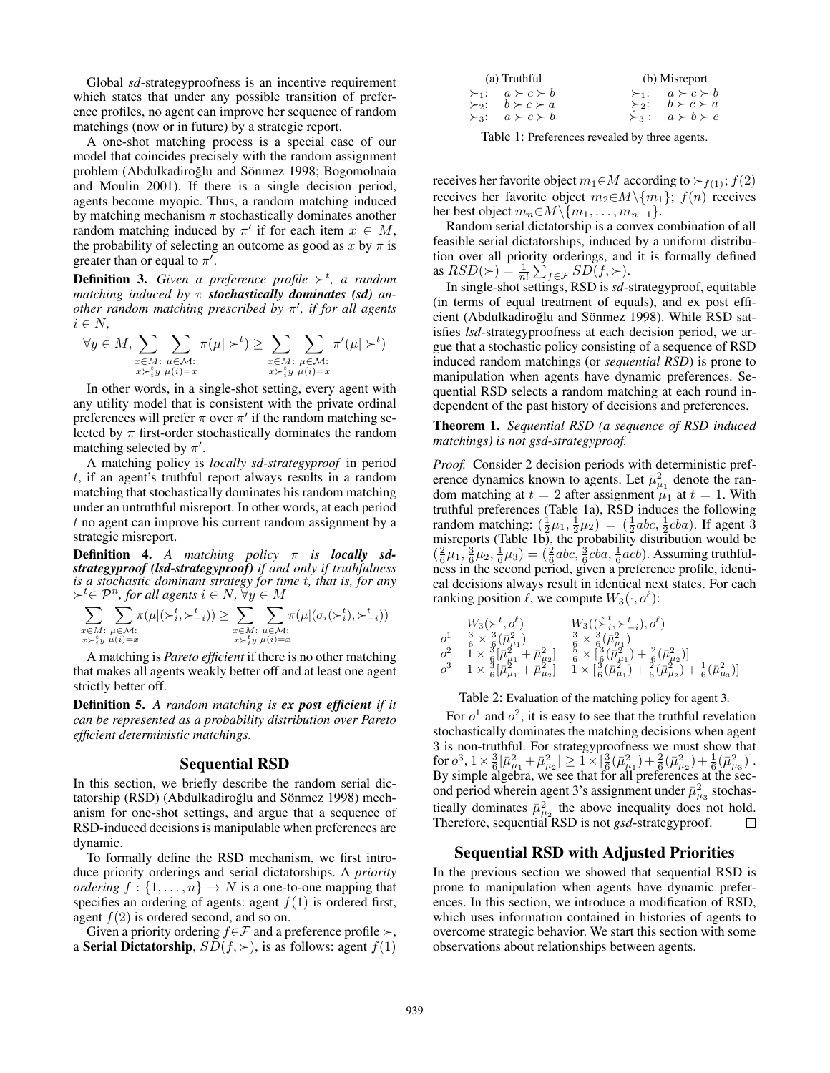Global *sd*-strategyproofness is an incentive requirement which states that under any possible transition of preference profiles, no agent can improve her sequence of random matchings (now or in future) by a strategic report.

A one-shot matching process is a special case of our model that coincides precisely with the random assignment problem (Abdulkadiroğlu and Sönmez 1998; Bogomolnaia and Moulin 2001). If there is a single decision period, agents become myopic. Thus, a random matching induced by matching mechanism  $\pi$  stochastically dominates another random matching induced by  $\pi'$  if for each item  $x \in M$ , the probability of selecting an outcome as good as x by  $\pi$  is greater than or equal to  $\pi'$ .

**Definition 3.** Given a preference profile  $\succ^t$ , a random *matching induced by* π *stochastically dominates (sd) another random matching prescribed by* π 0 *, if for all agents*  $i \in N$ ,

$$
\forall y \in M, \sum_{\substack{x \in M:\\x \succ_i^t y}} \sum_{\substack{\mu \in \mathcal{M}:\\ \mu(i) = x}} \pi(\mu \mid \succ^t) \ge \sum_{\substack{x \in M:\\x \succ_i^t y}} \sum_{\substack{\mu \in \mathcal{M}:\\ \mu(i) = x}} \pi'(\mu \mid \succ^t)
$$

In other words, in a single-shot setting, every agent with any utility model that is consistent with the private ordinal preferences will prefer  $\pi$  over  $\pi'$  if the random matching selected by  $\pi$  first-order stochastically dominates the random matching selected by  $\pi'$ .

A matching policy is *locally sd-strategyproof* in period t, if an agent's truthful report always results in a random matching that stochastically dominates his random matching under an untruthful misreport. In other words, at each period t no agent can improve his current random assignment by a strategic misreport.

Definition 4. *A matching policy* π *is locally sdstrategyproof (lsd-strategyproof) if and only if truthfulness is a stochastic dominant strategy for time* t*, that is, for any*  $\succ^t$  $\in \mathcal{P}^n$ , for all agents  $i \in N$ ,  $\forall y \in M$ 

$$
\sum_{\substack{x \in M:\\ x \succ_i^t y}} \sum_{\substack{\mu \in \mathcal{M}: \\ \mu(i)=x}} \pi(\mu|(\succ_i^t, \succ_{-i}^t)) \ge \sum_{\substack{x \in M:\\ x \succ_i^t y}} \sum_{\substack{\mu \in \mathcal{M}: \\ \mu(i)=x}} \pi(\mu|(\sigma_i(\succ_i^t), \succ_{-i}^t))
$$

A matching is *Pareto efficient* if there is no other matching that makes all agents weakly better off and at least one agent strictly better off.

Definition 5. *A random matching is ex post efficient if it can be represented as a probability distribution over Pareto efficient deterministic matchings.*

#### Sequential RSD

In this section, we briefly describe the random serial dictatorship (RSD) (Abdulkadiroğlu and Sönmez 1998) mechanism for one-shot settings, and argue that a sequence of RSD-induced decisions is manipulable when preferences are dynamic.

To formally define the RSD mechanism, we first introduce priority orderings and serial dictatorships. A *priority ordering*  $f : \{1, \ldots, n\} \rightarrow N$  is a one-to-one mapping that specifies an ordering of agents: agent  $f(1)$  is ordered first, agent  $f(2)$  is ordered second, and so on.

Given a priority ordering  $f \in \mathcal{F}$  and a preference profile  $\succ$ , a **Serial Dictatorship**,  $SD(f, \succ)$ , is as follows: agent  $f(1)$ 

| (a) Truthful |                                 | (b) Misreport |                                 |
|--------------|---------------------------------|---------------|---------------------------------|
|              | $\succ_1: a \succ c \succ b$    |               | $\succ_1: a \succ c \succ b$    |
|              | $\succ_2$ : $b \succ c \succ a$ |               | $\succ_2$ : $b \succ c \succ a$ |
|              | $\succ_3: a \succ c \succ b$    |               | $\sum_3 : a \succ b \succ c$    |

Table 1: Preferences revealed by three agents.

receives her favorite object  $m_1 \in M$  according to  $\succ_{f(1)}$ ;  $f(2)$ receives her favorite object  $m_2 \in M \setminus \{m_1\}$ ;  $f(n)$  receives her best object  $m_n \in M \setminus \{m_1, \ldots, m_{n-1}\}.$ 

Random serial dictatorship is a convex combination of all feasible serial dictatorships, induced by a uniform distribution over all priority orderings, and it is formally defined as  $RSD(\succ) = \frac{1}{n!} \sum_{f \in \mathcal{F}} SD(f, \succ).$ 

In single-shot settings, RSD is *sd*-strategyproof, equitable (in terms of equal treatment of equals), and ex post efficient (Abdulkadiroğlu and Sönmez 1998). While RSD satisfies *lsd*-strategyproofness at each decision period, we argue that a stochastic policy consisting of a sequence of RSD induced random matchings (or *sequential RSD*) is prone to manipulation when agents have dynamic preferences. Sequential RSD selects a random matching at each round independent of the past history of decisions and preferences.

Theorem 1. *Sequential RSD (a sequence of RSD induced matchings) is not gsd-strategyproof.*

*Proof.* Consider 2 decision periods with deterministic preference dynamics known to agents. Let  $\bar{\mu}^2_{\mu_1}$  denote the random matching at  $t = 2$  after assignment  $\mu_1$  at  $t = 1$ . With truthful preferences (Table 1a), RSD induces the following random matching:  $(\frac{1}{2}\mu_1, \frac{1}{2}\mu_2) = (\frac{1}{2}abc, \frac{1}{2}cba)$ . If agent 3 misreports (Table 1b), the probability distribution would be  $(\frac{2}{6}\mu_1, \frac{3}{6}\mu_2, \frac{1}{6}\mu_3) = (\frac{2}{6}abc, \frac{3}{6}cba, \frac{1}{6}acb)$ . Assuming truthfulness in the second period, given a preference profile, identical decisions always result in identical next states. For each ranking position  $\ell$ , we compute  $W_3(\cdot, o^{\ell})$ :

$$
\begin{array}{c|c} W_3(\succ^t, o^\ell) & W_3((\hat{\succ}^t_i, \succ^t_{-i}), o^\ell) \\ \hline o^1 & \frac{3}{6} \times \frac{3}{6}(\bar{\mu}^2_{\mu_1}) & \frac{3}{6} \times \frac{3}{6}(\bar{\mu}^2_{\mu_1}) \\ o^2 & 1 \times \frac{3}{6}[\bar{\mu}^2_{\mu_1} + \bar{\mu}^2_{\mu_2}] & \frac{5}{6} \times [\frac{3}{6}(\bar{\mu}^2_{\mu_1}) + \frac{2}{6}(\bar{\mu}^2_{\mu_2})] \\ o^3 & 1 \times \frac{3}{6}[\bar{\mu}^2_{\mu_1} + \bar{\mu}^2_{\mu_2}] & 1 \times [\frac{3}{6}(\bar{\mu}^2_{\mu_1}) + \frac{2}{6}(\bar{\mu}^2_{\mu_2}) + \frac{1}{6}(\bar{\mu}^2_{\mu_3})] \end{array}
$$

Table 2: Evaluation of the matching policy for agent 3.

For  $o^1$  and  $o^2$ , it is easy to see that the truthful revelation stochastically dominates the matching decisions when agent 3 is non-truthful. For strategyproofness we must show that  $\text{for } \sigma^3, 1 \times \frac{3}{6} [\bar{\mu}_{\mu_1}^2 + \bar{\mu}_{\mu_2}^2] \geq 1 \times [\frac{3}{6} (\bar{\mu}_{\mu_1}^2) + \frac{2}{6} (\bar{\mu}_{\mu_2}^2) + \frac{1}{6} (\bar{\mu}_{\mu_3}^2)].$ By simple algebra, we see that for all preferences at the second period wherein agent 3's assignment under  $\bar{\mu}^2_{\mu_3}$  stochastically dominates  $\bar{\mu}_{\mu_2}^2$  the above inequality does not hold. Therefore, sequential RSD is not *gsd*-strategyproof.

### Sequential RSD with Adjusted Priorities

In the previous section we showed that sequential RSD is prone to manipulation when agents have dynamic preferences. In this section, we introduce a modification of RSD, which uses information contained in histories of agents to overcome strategic behavior. We start this section with some observations about relationships between agents.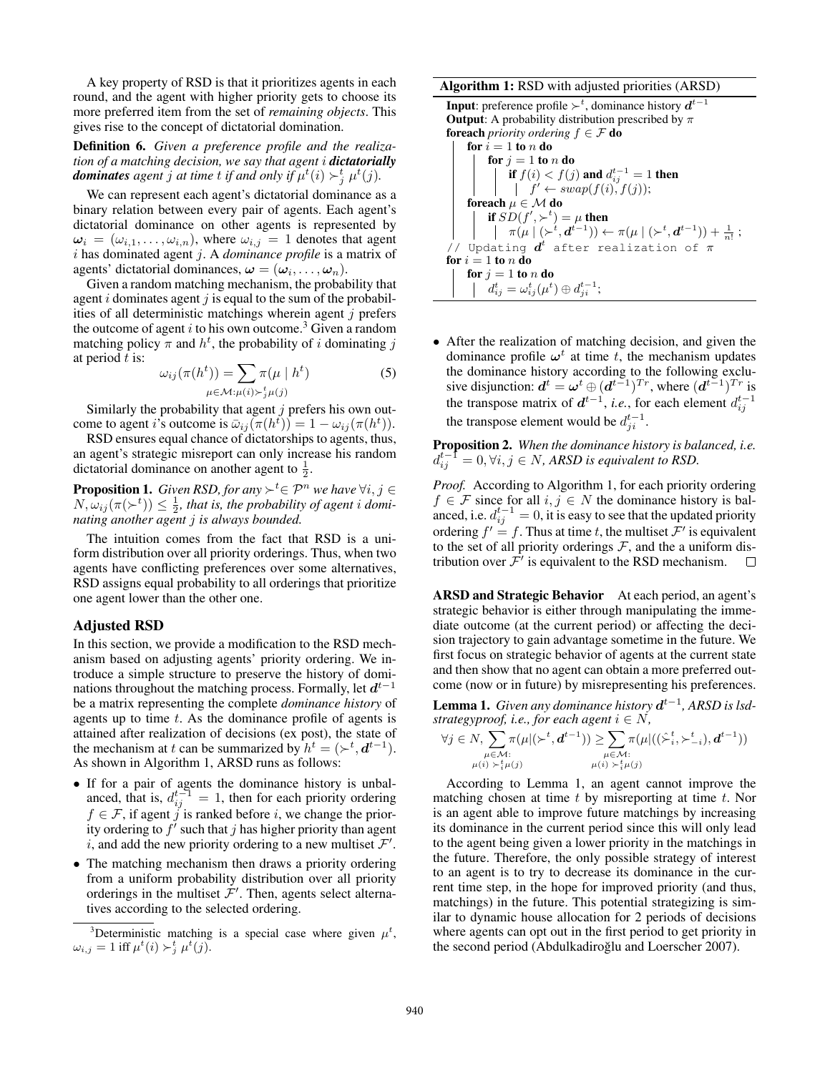A key property of RSD is that it prioritizes agents in each round, and the agent with higher priority gets to choose its more preferred item from the set of *remaining objects*. This gives rise to the concept of dictatorial domination.

## Definition 6. *Given a preference profile and the realization of a matching decision, we say that agent* i *dictatorially* **dominates** agent j at time t if and only if  $\mu^t(i) \succ_j^t \mu^t(j)$ .

We can represent each agent's dictatorial dominance as a binary relation between every pair of agents. Each agent's dictatorial dominance on other agents is represented by  $\omega_i = (\omega_{i,1}, \dots, \omega_{i,n})$ , where  $\omega_{i,j} = 1$  denotes that agent i has dominated agent j. A *dominance profile* is a matrix of agents' dictatorial dominances,  $\boldsymbol{\omega} = (\omega_i, \dots, \omega_n)$ .

Given a random matching mechanism, the probability that agent  $i$  dominates agent  $j$  is equal to the sum of the probabilities of all deterministic matchings wherein agent  $j$  prefers the outcome of agent i to his own outcome.<sup>3</sup> Given a random matching policy  $\pi$  and  $h^t$ , the probability of i dominating j at period  $t$  is:

$$
\omega_{ij}(\pi(h^t)) = \sum_{\mu \in \mathcal{M}:\mu(i) \succ^t_{j}\mu(j)} \pi(\mu \mid h^t)
$$
 (5)

Similarly the probability that agent  $j$  prefers his own outcome to agent *i*'s outcome is  $\bar{\omega}_{ij}(\pi(h^t)) = 1 - \omega_{ij}(\pi(h^t)).$ 

RSD ensures equal chance of dictatorships to agents, thus, an agent's strategic misreport can only increase his random dictatorial dominance on another agent to  $\frac{1}{2}$ .

**Proposition 1.** *Given RSD, for any*  $\succ^t \in \mathcal{P}^n$  *we have*  $\forall i, j \in$  $N, \omega_{ij}(\pi(\succ^t)) \leq \frac{1}{2}$ , that is, the probability of agent *i* domi*nating another agent* j *is always bounded.*

The intuition comes from the fact that RSD is a uniform distribution over all priority orderings. Thus, when two agents have conflicting preferences over some alternatives, RSD assigns equal probability to all orderings that prioritize one agent lower than the other one.

#### Adjusted RSD

In this section, we provide a modification to the RSD mechanism based on adjusting agents' priority ordering. We introduce a simple structure to preserve the history of dominations throughout the matching process. Formally, let  $d^{t-1}$ be a matrix representing the complete *dominance history* of agents up to time t. As the dominance profile of agents is attained after realization of decisions (ex post), the state of the mechanism at t can be summarized by  $h^t = (\succ^t, d^{t-1})$ . As shown in Algorithm 1, ARSD runs as follows:

- If for a pair of agents the dominance history is unbalanced, that is,  $d_{ij}^{t-1} = 1$ , then for each priority ordering  $f \in \mathcal{F}$ , if agent j is ranked before i, we change the priority ordering to  $f'$  such that j has higher priority than agent i, and add the new priority ordering to a new multiset  $\mathcal{F}'$ .
- The matching mechanism then draws a priority ordering from a uniform probability distribution over all priority orderings in the multiset  $\mathcal{F}'$ . Then, agents select alternatives according to the selected ordering.

#### Algorithm 1: RSD with adjusted priorities (ARSD)

**Input**: preference profile  $\succ^t$ , dominance history  $d^{t-1}$ **Output**: A probability distribution prescribed by  $\pi$ **foreach** *priority ordering*  $f \in \mathcal{F}$  **do** for  $i = 1$  to n do for  $j = 1$  to n do if  $f(i) < f(j)$  and  $d_{ij}^{t-1} = 1$  then  $f' \leftarrow swap(f(i), f(j));$ foreach  $\mu \in \mathcal{M}$  do if  $SD(f', \succ^t) = \mu$  then  $\pi(\mu \mid (\succ^{t}, \boldsymbol{d}^{t-1})) \leftarrow \pi(\mu \mid (\succ^{t}, \boldsymbol{d}^{t-1})) + \frac{1}{n!}$  ; // Updating  $d^t$  after realization of  $\pi$ for  $i = 1$  to n do for  $j = 1$  to n do  $d_{ij}^t = \omega_{ij}^t(\mu^t) \oplus d_{ji}^{t-1};$ 

• After the realization of matching decision, and given the dominance profile  $\omega^t$  at time t, the mechanism updates the dominance history according to the following exclusive disjunction:  $d^t = \boldsymbol{\omega}^t \oplus (d^{t-1})^{Tr}$ , where  $(d^{t-1})^{Tr}$  is the transpose matrix of  $d^{t-1}$ , *i.e.*, for each element  $d_{ij}^{t-1}$ the transpose element would be  $d_{ji}^{t-1}$ .

Proposition 2. *When the dominance history is balanced, i.e.*  $d_{ij}^{t-1}=0, \forall i,j \in N$ , ARSD is equivalent to RSD.

*Proof.* According to Algorithm 1, for each priority ordering  $f \in \mathcal{F}$  since for all  $i, j \in N$  the dominance history is balanced, i.e.  $d_{ij}^{t-1} = 0$ , it is easy to see that the updated priority ordering  $f' = f$ . Thus at time t, the multiset  $\mathcal{F}'$  is equivalent to the set of all priority orderings  $\mathcal{F}$ , and the a uniform distribution over  $\mathcal{F}'$  is equivalent to the RSD mechanism.  $\Box$ 

ARSD and Strategic Behavior At each period, an agent's strategic behavior is either through manipulating the immediate outcome (at the current period) or affecting the decision trajectory to gain advantage sometime in the future. We first focus on strategic behavior of agents at the current state and then show that no agent can obtain a more preferred outcome (now or in future) by misrepresenting his preferences.

**Lemma 1.** *Given any dominance history*  $d^{t-1}$ , *ARSD is lsdstrategyproof, i.e., for each agent*  $i \in N$ *,* 

$$
\forall j \in N, \sum_{\substack{\mu \in \mathcal{M}: \\ \mu(i) \geq \frac{t}{i}\mu(j)}} \pi(\mu | (\succ^t, d^{t-1})) \geq \sum_{\substack{\mu \in \mathcal{M}: \\ \mu(i) \geq \frac{t}{i}\mu(j)}} \pi(\mu | ((\hat{\succ}^t_i, \succ^t_{-i}), d^{t-1}))
$$

According to Lemma 1, an agent cannot improve the matching chosen at time  $t$  by misreporting at time  $t$ . Nor is an agent able to improve future matchings by increasing its dominance in the current period since this will only lead to the agent being given a lower priority in the matchings in the future. Therefore, the only possible strategy of interest to an agent is to try to decrease its dominance in the current time step, in the hope for improved priority (and thus, matchings) in the future. This potential strategizing is similar to dynamic house allocation for 2 periods of decisions where agents can opt out in the first period to get priority in the second period (Abdulkadiroğlu and Loerscher 2007).

<sup>&</sup>lt;sup>3</sup>Deterministic matching is a special case where given  $\mu^t$ ,  $\omega_{i,j} = 1$  iff  $\mu^t(i) \succ_j^t \mu^t(j)$ .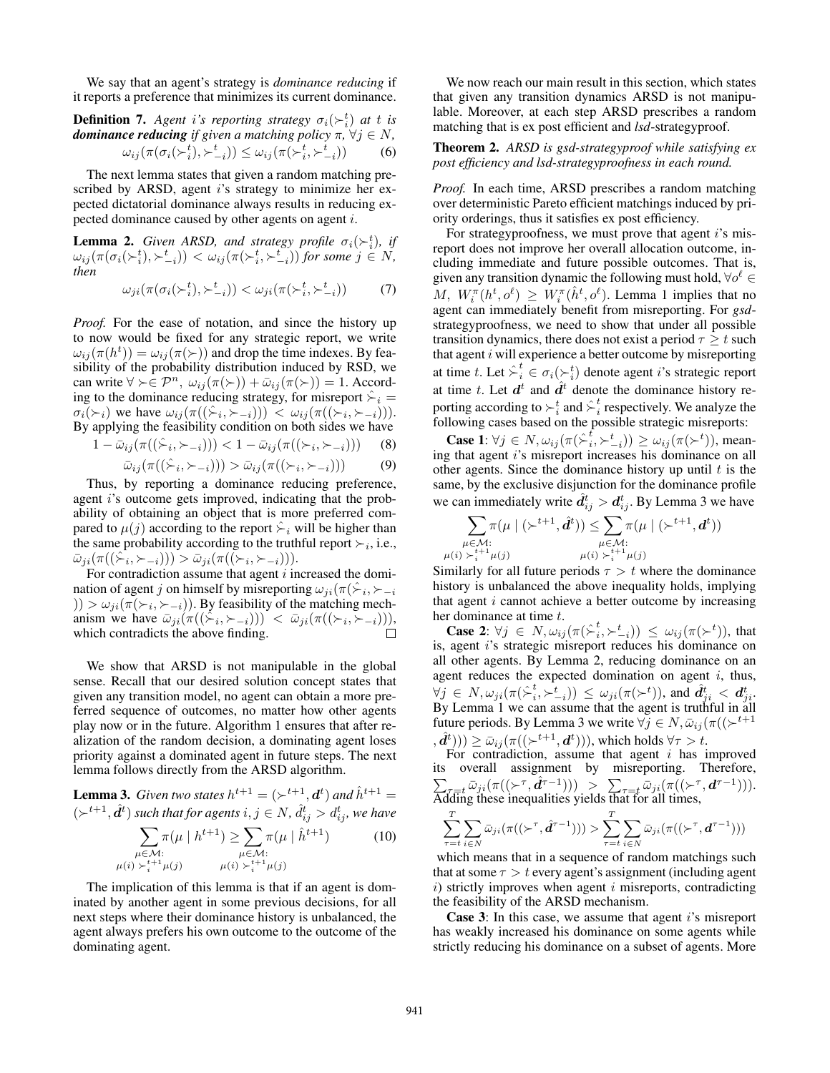We say that an agent's strategy is *dominance reducing* if it reports a preference that minimizes its current dominance.

## **Definition 7.** Agent i's reporting strategy  $\sigma_i(\succ_i^t)$  at t is *dominance reducing if given a matching policy* π*,* ∀j ∈ N*,*  $\omega_{ij}(\pi(\sigma_i(\succ_i^t),\succ_{-i}^t)) \leq \omega_{ij}(\pi(\succ_i^t,\succ_{-i}^t))$  (6)

The next lemma states that given a random matching prescribed by ARSD, agent  $i$ 's strategy to minimize her expected dictatorial dominance always results in reducing expected dominance caused by other agents on agent i.

**Lemma 2.** *Given ARSD, and strategy profile*  $\sigma_i(\succ_i^t)$ *, if*  $\omega_{ij}(\pi(\sigma_i(\succ_i^t),\succ_{-i}^t)) < \omega_{ij}(\pi(\succ_i^t,\succ_{-i}^t))$  for some  $j \in N$ , *then*

$$
\omega_{ji}(\pi(\sigma_i(\succ_i^t),\succ_{-i}^t)) < \omega_{ji}(\pi(\succ_i^t,\succ_{-i}^t)) \tag{7}
$$

*Proof.* For the ease of notation, and since the history up to now would be fixed for any strategic report, we write  $\omega_{ij}(\pi(h^t)) = \omega_{ij}(\pi(\succ))$  and drop the time indexes. By feasibility of the probability distribution induced by RSD, we can write  $\forall \succ \in \mathcal{P}^n$ ,  $\omega_{ij}(\pi(\succ)) + \bar{\omega}_{ij}(\pi(\succ)) = 1$ . According to the dominance reducing strategy, for misreport  $\hat{\succ}_i$  =  $\sigma_i(\succ_i)$  we have  $\omega_{ij}(\pi((\hat{\succ}_i, \succ_{-i}))) < \omega_{ij}(\pi((\succ_i, \succ_{-i}))).$ By applying the feasibility condition on both sides we have

$$
1 - \bar{\omega}_{ij}(\pi((\hat{\succ}_i, \succ_{-i}))) < 1 - \bar{\omega}_{ij}(\pi((\succ_i, \succ_{-i}))) \tag{8}
$$
\n
$$
\bar{\omega}_{ij}(\pi((\hat{\succ}_i, \succ_{-i}))) > \bar{\omega}_{ij}(\pi((\succ_i, \succ_{-i}))) \tag{9}
$$

Thus, by reporting a dominance reducing preference, agent i's outcome gets improved, indicating that the probability of obtaining an object that is more preferred compared to  $\mu(j)$  according to the report  $\hat{\succ}_i$  will be higher than the same probability according to the truthful report  $\succ_i$ , i.e.,  $\bar{\omega}_{ji}(\pi((\hat{\succ}_i, \succ_{-i}))) > \bar{\omega}_{ji}(\pi((\check{\succ}_i, \succ_{-i}))).$ 

For contradiction assume that agent  $i$  increased the domination of agent j on himself by misreporting  $\omega_{ji}(\pi(\hat{\succ}_i, \succ_{-i}$  $|f| > \omega_{ji}(\pi(\succ_i, \succ_{-i}))$ . By feasibility of the matching mechanism we have  $\bar{\omega}_{ji}(\pi((\dot{\succ}_i, \succ_{-i})) \leq \bar{\omega}_{ji}(\pi((\succ_i, \succ_{-i}))),$ which contradicts the above finding.

We show that ARSD is not manipulable in the global sense. Recall that our desired solution concept states that given any transition model, no agent can obtain a more preferred sequence of outcomes, no matter how other agents play now or in the future. Algorithm 1 ensures that after realization of the random decision, a dominating agent loses priority against a dominated agent in future steps. The next lemma follows directly from the ARSD algorithm.

**Lemma 3.** *Given two states*  $h^{t+1} = (\succ^{t+1}, \mathbf{d}^t)$  *and*  $\hat{h}^{t+1} =$  $(\succ^{t+1}, \hat{d}^t)$  such that for agents  $i, j \in N$ ,  $\hat{d}_{ij}^t > d_{ij}^t$ , we have  $\sum \pi(\mu \mid h^{t+1}) \ge \sum \pi(\mu \mid \hat{h}^{t+1})$  (10)

$$
\mu \in \mathcal{M}: \mu(i) \succ_i^{t+1} \mu(j) \qquad \mu(i) \succ_i^{t+1} \mu(j)
$$

The implication of this lemma is that if an agent is dominated by another agent in some previous decisions, for all next steps where their dominance history is unbalanced, the agent always prefers his own outcome to the outcome of the dominating agent.

We now reach our main result in this section, which states that given any transition dynamics ARSD is not manipulable. Moreover, at each step ARSD prescribes a random matching that is ex post efficient and *lsd*-strategyproof.

### Theorem 2. *ARSD is gsd-strategyproof while satisfying ex post efficiency and lsd-strategyproofness in each round.*

*Proof.* In each time, ARSD prescribes a random matching over deterministic Pareto efficient matchings induced by priority orderings, thus it satisfies ex post efficiency.

For strategyproofness, we must prove that agent  $i$ 's misreport does not improve her overall allocation outcome, including immediate and future possible outcomes. That is, given any transition dynamic the following must hold,  $\forall o^{\ell} \in$ M,  $W_i^{\pi}(h^t, o^{\ell}) \geq W_i^{\pi}(\hat{h}^t, o^{\ell})$ . Lemma 1 implies that no agent can immediately benefit from misreporting. For *gsd*strategyproofness, we need to show that under all possible transition dynamics, there does not exist a period  $\tau \geq t$  such that agent  $i$  will experience a better outcome by misreporting at time t. Let  $\hat{\succ}^t_i \in \sigma_i(\succ^t_i)$  denote agent i's strategic report at time t. Let  $d^t$  and  $\hat{d}^t$  denote the dominance history reporting according to  $\succ_i^t$  and  $\hat{\succ}_i^t$  $i<sub>i</sub>$  respectively. We analyze the following cases based on the possible strategic misreports:

**Case 1:**  $\forall j \in N$ ,  $\omega_{ij}(\pi(\hat{\succ}^t_i, \succ^t_{-i})) \geq \omega_{ij}(\pi(\succ^t))$ , meaning that agent i's misreport increases his dominance on all other agents. Since the dominance history up until  $t$  is the same, by the exclusive disjunction for the dominance profile we can immediately write  $\hat{d}_{ij}^t > d_{ij}^t$ . By Lemma 3 we have

$$
\sum_{\substack{\mu \in \mathcal{M}: \\ \mu(i) \geq \frac{t+1}{i}, \mu(j)}} \pi(\mu \mid (\succ^{t+1}, \hat{d}^t)) \leq \sum_{\substack{\mu \in \mathcal{M}: \\ \mu(i) \geq \frac{t}{i} + 1}} \pi(\mu \mid (\succ^{t+1}, d^t))
$$

Similarly for all future periods  $\tau > t$  where the dominance history is unbalanced the above inequality holds, implying that agent  $i$  cannot achieve a better outcome by increasing her dominance at time t.

**Case 2:**  $\forall j \in N$ ,  $\omega_{ij}(\pi(\hat{\succ}^t_i, \succ^t_{-i})) \leq \omega_{ij}(\pi(\succ^t))$ , that is, agent i's strategic misreport reduces his dominance on all other agents. By Lemma 2, reducing dominance on an agent reduces the expected domination on agent  $i$ , thus,  $\forall j \in N, \omega_{ji}(\pi \hat{\succ}^t_i)$  $\big(\begin{matrix}t_i,\succ_{-i}^t)\end{matrix}\big) \leq \omega_{ji}(\pi(\succ^t)),$  and  $\hat{d}_{ji}^t < \boldsymbol{d}_{ji}^t$ . By Lemma 1 we can assume that the agent is truthful in all future periods. By Lemma 3 we write  $\forall j \in N, \bar{\omega}_{ij}(\pi((\succ^{t+1}))$  $(\hat{\mathbf{d}}^t)) \geq \bar{\omega}_{ij}(\pi((\succ^{t+1}, \mathbf{d}^t))),$  which holds  $\forall \tau > t$ .

For contradiction, assume that agent  $i$  has improved its overall assignment by misreporting. Therefore,  $\sum_{\tau=t} \bar{\omega}_{ji}(\pi((\succ^{\tau}, \hat{\mathbf{d}}^{\tau-1}))) \geq \sum_{\tau=t} \bar{\omega}_{ji}(\pi((\succ^{\tau}, \mathbf{d}^{\tau-1}))).$ Adding these inequalities yields that for all times,

$$
\sum_{\tau=t}^T \sum_{i\in N} \bar{\omega}_{ji}(\pi((\succ^\tau, \hat{\boldsymbol{d}}^{\tau-1}))) > \sum_{\tau=t}^T \sum_{i\in N} \bar{\omega}_{ji}(\pi((\succ^\tau, \boldsymbol{d}^{\tau-1})))
$$

which means that in a sequence of random matchings such that at some  $\tau > t$  every agent's assignment (including agent  $i)$  strictly improves when agent  $i$  misreports, contradicting the feasibility of the ARSD mechanism.

**Case 3:** In this case, we assume that agent  $i$ 's misreport has weakly increased his dominance on some agents while strictly reducing his dominance on a subset of agents. More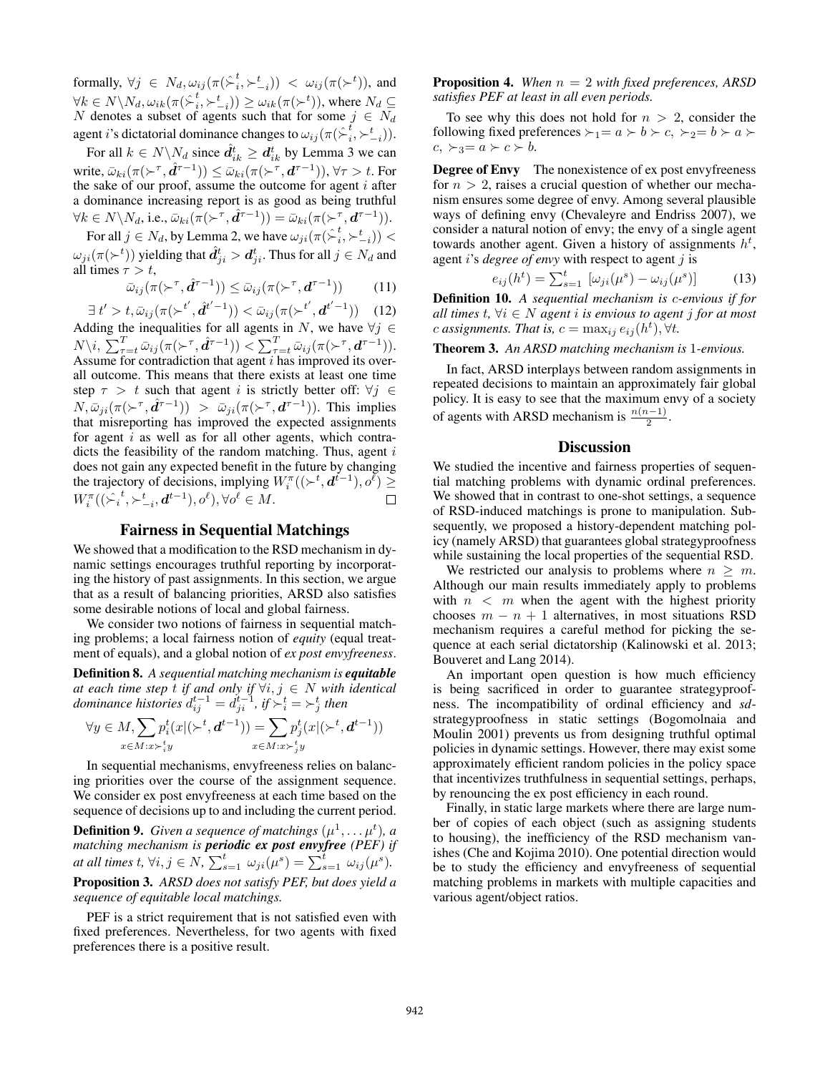formally,  $\forall j \in N_d, \omega_{ij}(\pi \hat{\succ}^t_i)$  $(\phi_i^t, \succ_{-i}^t)) \; < \; \omega_{ij}(\pi(\succ^t)),$  and  $\forall k \in N \backslash N_d, \omega_{ik}(\pi (\hat{\succ}^t_i$  $(\mathbf{z}_i^t, \succ_{-i}^t)) \ge \omega_{ik}(\pi(\succ^t)),$  where  $N_d \subseteq$ N denotes a subset of agents such that for some  $j \in N_d$ agent i's dictatorial dominance changes to  $\omega_{ij}(\pi \hat{\;} \epsilon_i^t)$  $_{i}^{t},\succ_{-i}^{t})$ ).

For all  $k \in N \backslash N_d$  since  $\hat{d}_{ik}^t \geq d_{ik}^t$  by Lemma 3 we can write,  $\bar{\omega}_{ki}(\pi(\succ^\tau,\hat{\bm d}^{\tau-1}))\leq \bar{\omega}_{ki}(\pi(\succ^\tau,\bm d^{\tau-1})), \forall \tau>t.$  For the sake of our proof, assume the outcome for agent  $i$  after a dominance increasing report is as good as being truthful  $\forall k \in N \setminus N_d$ , i.e.,  $\bar{\omega}_{ki}(\pi(\succ^{\tau}, \hat{\boldsymbol{d}}^{\tau-1})) = \bar{\omega}_{ki}(\pi(\succ^{\tau}, \boldsymbol{d}^{\tau-1})).$ 

For all  $j \in N_d$ , by Lemma 2, we have  $\omega_{ji}(\pi(\hat{\succ}^t_i, \succ^t_{-i}))$  <  $\omega_{ji}(\pi(\succ^t))$  yielding that  $\hat d_{ji}^t>d_{ji}^t$ . Thus for all  $j\in N_d$  and all times  $\tau > t$ ,

$$
\bar{\omega}_{ij}(\pi(\succ^{\tau}, \hat{\boldsymbol{d}}^{\tau-1})) \leq \bar{\omega}_{ij}(\pi(\succ^{\tau}, \boldsymbol{d}^{\tau-1})) \tag{11}
$$

 $\exists t' > t, \bar{\omega}_{ij}(\pi(\succ^{t'}, \hat{d}^{t'-1})) < \bar{\omega}_{ij}(\pi(\succ^{t'}, d^{t'-1}))$  (12) Adding the inequalities for all agents in N, we have  $\forall j \in$  $N\backslash i$ ,  $\sum_{\tau=t}^T \bar{\omega}_{ij}(\pi(\succ^\tau, \hat{\boldsymbol{d}}^{\tau-1})) < \sum_{\tau=t}^T \bar{\omega}_{ij}(\pi(\succ^\tau, \boldsymbol{d}^{\tau-1})).$ Assume for contradiction that agent  $i$  has improved its overall outcome. This means that there exists at least one time step  $\tau > t$  such that agent i is strictly better off:  $\forall j \in$  $N, \bar{\omega}_{ji}(\pi(\succ^{\tau}, \hat{\mathbf{d}}^{\tau-1})) > \bar{\omega}_{ji}(\pi(\succ^{\tau}, \mathbf{d}^{\tau-1}))$ . This implies that misreporting has improved the expected assignments for agent  $i$  as well as for all other agents, which contradicts the feasibility of the random matching. Thus, agent  $i$ does not gain any expected benefit in the future by changing the trajectory of decisions, implying  $W_i^{\pi}((\succ^t, d^{t-1}), o^{\bar{\ell}}) \geq$  $W_i^{\pi}((\hat{\succ_i}^t, \succ_{-i}^t, \mathbf{d}^{t-1}), o^{\ell}), \forall o^{\ell} \in M.$  $\Box$ 

## Fairness in Sequential Matchings

We showed that a modification to the RSD mechanism in dynamic settings encourages truthful reporting by incorporating the history of past assignments. In this section, we argue that as a result of balancing priorities, ARSD also satisfies some desirable notions of local and global fairness.

We consider two notions of fairness in sequential matching problems; a local fairness notion of *equity* (equal treatment of equals), and a global notion of *ex post envyfreeness*.

Definition 8. *A sequential matching mechanism is equitable at each time step* t *if and only if* ∀i, j ∈ N *with identical*  $dominance$  histories  $d_{ij}^{t-1} = d_{ji}^{t-1}$ , if  $\succ_i^t = \succ_j^t$  then

$$
\forall y \in M, \sum_{x \in M: x \succ_i^t y} p_i^t(x | (\succ^t, \mathbf{d}^{t-1})) = \sum_{x \in M: x \succ_j^t y} p_j^t(x | (\succ^t, \mathbf{d}^{t-1}))
$$

In sequential mechanisms, envyfreeness relies on balancing priorities over the course of the assignment sequence. We consider ex post envyfreeness at each time based on the sequence of decisions up to and including the current period.

**Definition 9.** Given a sequence of matchings  $(\mu^1, \dots \mu^t)$ , a *matching mechanism is periodic ex post envyfree (PEF) if at all times t,*  $\forall i, j \in N$ ,  $\sum_{s=1}^{t} \omega_{ji}(\mu^{s}) = \sum_{s=1}^{t} \omega_{ij}(\mu^{s})$ . Proposition 3. *ARSD does not satisfy PEF, but does yield a*

*sequence of equitable local matchings.*

PEF is a strict requirement that is not satisfied even with fixed preferences. Nevertheless, for two agents with fixed preferences there is a positive result.

#### Proposition 4. *When* n = 2 *with fixed preferences, ARSD satisfies PEF at least in all even periods.*

To see why this does not hold for  $n > 2$ , consider the following fixed preferences  $\succ_1 = a \succ b \succ c, \succ_2 = b \succ a \succ$  $c, \succ_3=a \succ c \succ b.$ 

Degree of Envy The nonexistence of ex post envyfreeness for  $n > 2$ , raises a crucial question of whether our mechanism ensures some degree of envy. Among several plausible ways of defining envy (Chevaleyre and Endriss 2007), we consider a natural notion of envy; the envy of a single agent towards another agent. Given a history of assignments  $h^t$ , agent *i*'s *degree of envy* with respect to agent *j* is

$$
e_{ij}(h^t) = \sum_{s=1}^t \left[ \omega_{ji}(\mu^s) - \omega_{ij}(\mu^s) \right]
$$
 (13)

Definition 10. *A sequential mechanism is* c*-envious if for all times*  $t$ *,*  $∀i ∈ N$  *agent i is envious to agent j for at most* c assignments. That is,  $c = \max_{ij} e_{ij}(h^t)$ ,  $\forall t$ .

#### Theorem 3. *An ARSD matching mechanism is* 1*-envious.*

In fact, ARSD interplays between random assignments in repeated decisions to maintain an approximately fair global policy. It is easy to see that the maximum envy of a society of agents with ARSD mechanism is  $\frac{n(n-1)}{2}$ .

#### **Discussion**

We studied the incentive and fairness properties of sequential matching problems with dynamic ordinal preferences. We showed that in contrast to one-shot settings, a sequence of RSD-induced matchings is prone to manipulation. Subsequently, we proposed a history-dependent matching policy (namely ARSD) that guarantees global strategyproofness while sustaining the local properties of the sequential RSD.

We restricted our analysis to problems where  $n \geq m$ . Although our main results immediately apply to problems with  $n \leq m$  when the agent with the highest priority chooses  $m - n + 1$  alternatives, in most situations RSD mechanism requires a careful method for picking the sequence at each serial dictatorship (Kalinowski et al. 2013; Bouveret and Lang 2014).

An important open question is how much efficiency is being sacrificed in order to guarantee strategyproofness. The incompatibility of ordinal efficiency and *sd*strategyproofness in static settings (Bogomolnaia and Moulin 2001) prevents us from designing truthful optimal policies in dynamic settings. However, there may exist some approximately efficient random policies in the policy space that incentivizes truthfulness in sequential settings, perhaps, by renouncing the ex post efficiency in each round.

Finally, in static large markets where there are large number of copies of each object (such as assigning students to housing), the inefficiency of the RSD mechanism vanishes (Che and Kojima 2010). One potential direction would be to study the efficiency and envyfreeness of sequential matching problems in markets with multiple capacities and various agent/object ratios.